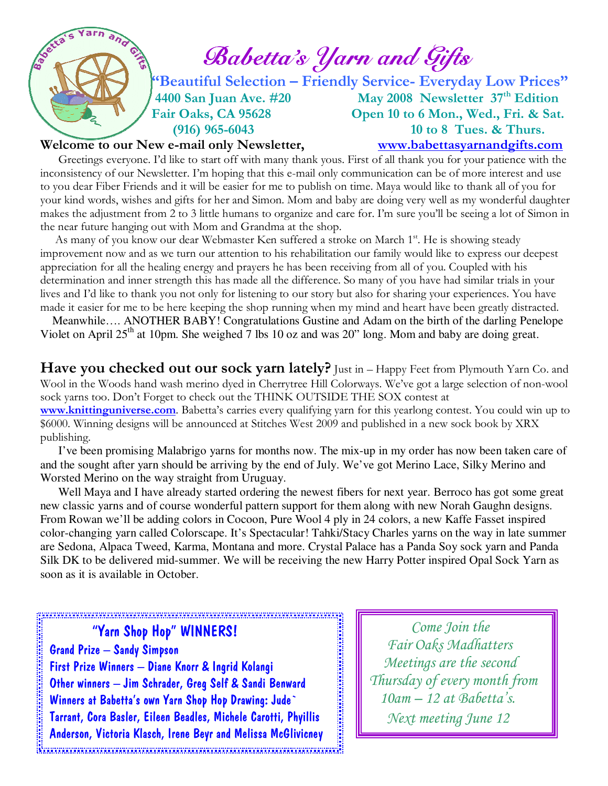

## Welcome to our New e-mail only Newsletter, www.babettasyarnandgifts.com

 Greetings everyone. I'd like to start off with many thank yous. First of all thank you for your patience with the inconsistency of our Newsletter. I'm hoping that this e-mail only communication can be of more interest and use to you dear Fiber Friends and it will be easier for me to publish on time. Maya would like to thank all of you for your kind words, wishes and gifts for her and Simon. Mom and baby are doing very well as my wonderful daughter makes the adjustment from 2 to 3 little humans to organize and care for. I'm sure you'll be seeing a lot of Simon in the near future hanging out with Mom and Grandma at the shop.

As many of you know our dear Webmaster Ken suffered a stroke on March 1<sup>st</sup>. He is showing steady improvement now and as we turn our attention to his rehabilitation our family would like to express our deepest appreciation for all the healing energy and prayers he has been receiving from all of you. Coupled with his determination and inner strength this has made all the difference. So many of you have had similar trials in your lives and I'd like to thank you not only for listening to our story but also for sharing your experiences. You have made it easier for me to be here keeping the shop running when my mind and heart have been greatly distracted.

 Meanwhile…. ANOTHER BABY! Congratulations Gustine and Adam on the birth of the darling Penelope Violet on April 25<sup>th</sup> at 10pm. She weighed 7 lbs 10 oz and was 20" long. Mom and baby are doing great.

Have you checked out our sock yarn lately? Just in - Happy Feet from Plymouth Yarn Co. and Wool in the Woods hand wash merino dyed in Cherrytree Hill Colorways. We've got a large selection of non-wool sock yarns too. Don't Forget to check out the THINK OUTSIDE THE SOX contest at www.knittinguniverse.com. Babetta's carries every qualifying yarn for this yearlong contest. You could win up to \$6000. Winning designs will be announced at Stitches West 2009 and published in a new sock book by XRX publishing.

 I've been promising Malabrigo yarns for months now. The mix-up in my order has now been taken care of and the sought after yarn should be arriving by the end of July. We've got Merino Lace, Silky Merino and Worsted Merino on the way straight from Uruguay.

 Well Maya and I have already started ordering the newest fibers for next year. Berroco has got some great new classic yarns and of course wonderful pattern support for them along with new Norah Gaughn designs. From Rowan we'll be adding colors in Cocoon, Pure Wool 4 ply in 24 colors, a new Kaffe Fasset inspired color-changing yarn called Colorscape. It's Spectacular! Tahki/Stacy Charles yarns on the way in late summer are Sedona, Alpaca Tweed, Karma, Montana and more. Crystal Palace has a Panda Soy sock yarn and Panda Silk DK to be delivered mid-summer. We will be receiving the new Harry Potter inspired Opal Sock Yarn as soon as it is available in October.

1999年,1999年,1999年,1999年,1999年,1999年,1999年,1999年,1999年,1999年,1999年,1999年,1999年,1999年,1999年,1999年,1999 年,1999年,1<br>1999年,1999年,1999年,1999年,1999年,1999年,1999年,1999年,1999年,1999年,1999年,1999年,1999年,1999年,1999年,1999年,1999年,1999年,1 "Yarn Shop Hop" WINNERS! Grand Prize – Sandy Simpson First Prize Winners – Diane Knorr & Ingrid Kolangi Other winners – Jim Schrader, Greg Self & Sandi Benward Winners at Babetta's own Yarn Shop Hop Drawing: Jude` Tarrant, Cora Basler, Eileen Beadles, Michele Carotti, Phyillis Anderson, Victoria Klasch, Irene Beyr and Melissa McGlivicney 

 Come Join the Fair Oaks Madhatters Meetings are the second Thursday of every month from 10am – 12 at Babetta's. Next meeting June 12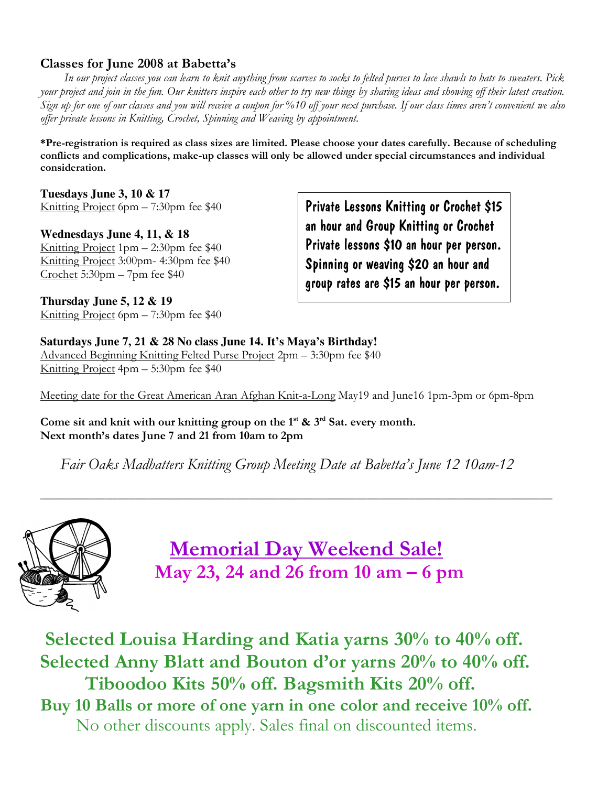## Classes for June 2008 at Babetta's

 In our project classes you can learn to knit anything from scarves to socks to felted purses to lace shawls to hats to sweaters. Pick your project and join in the fun. Our knitters inspire each other to try new things by sharing ideas and showing off their latest creation. Sign up for one of our classes and you will receive a coupon for %10 off your next purchase. If our class times aren't convenient we also offer private lessons in Knitting, Crochet, Spinning and Weaving by appointment.

\*Pre-registration is required as class sizes are limited. Please choose your dates carefully. Because of scheduling conflicts and complications, make-up classes will only be allowed under special circumstances and individual consideration.

**Tuesdays June 3, 10 & 17**  Knitting Project 6pm – 7:30pm fee \$40

**Wednesdays June 4, 11, & 18**  Knitting Project 1pm – 2:30pm fee \$40 Knitting Project 3:00pm- 4:30pm fee \$40 Crochet 5:30pm – 7pm fee \$40

**Thursday June 5, 12 & 19**  Knitting Project 6pm – 7:30pm fee \$40

Private Lessons Knitting or Crochet \$15 an hour and Group Knitting or Crochet Private lessons \$10 an hour per person. Spinning or weaving \$20 an hour and group rates are \$15 an hour per person.

**Saturdays June 7, 21 & 28 No class June 14. It's Maya's Birthday!**  Advanced Beginning Knitting Felted Purse Project 2pm – 3:30pm fee \$40 Knitting Project 4pm – 5:30pm fee \$40

Meeting date for the Great American Aran Afghan Knit-a-Long May19 and June16 1pm-3pm or 6pm-8pm

Come sit and knit with our knitting group on the  $1^{st}$  &  $3^{rd}$  Sat. every month. Next month's dates June 7 and 21 from 10am to 2pm

Fair Oaks Madhatters Knitting Group Meeting Date at Babetta's June 12 10am-12

**\_\_\_\_\_\_\_\_\_\_\_\_\_\_\_\_\_\_\_\_\_\_\_\_\_\_\_\_\_\_\_\_\_\_\_\_\_\_\_\_\_\_\_\_\_\_\_\_\_\_\_\_\_\_\_\_\_\_\_\_\_\_\_\_\_\_\_\_\_\_\_\_\_\_\_\_\_\_\_\_\_\_\_\_\_\_** 



 Memorial Day Weekend Sale! May 23, 24 and 26 from 10 am – 6 pm

 Selected Louisa Harding and Katia yarns 30% to 40% off. Selected Anny Blatt and Bouton d'or yarns 20% to 40% off. Tiboodoo Kits 50% off. Bagsmith Kits 20% off. Buy 10 Balls or more of one yarn in one color and receive 10% off. No other discounts apply. Sales final on discounted items.